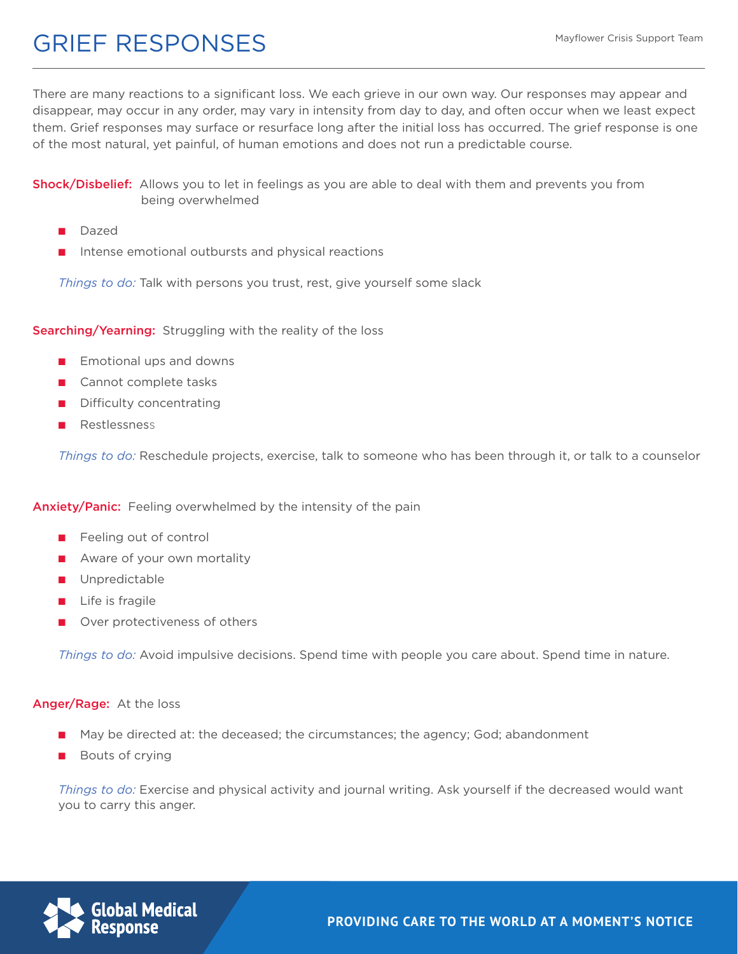## GRIEF RESPONSES

There are many reactions to a significant loss. We each grieve in our own way. Our responses may appear and disappear, may occur in any order, may vary in intensity from day to day, and often occur when we least expect them. Grief responses may surface or resurface long after the initial loss has occurred. The grief response is one of the most natural, yet painful, of human emotions and does not run a predictable course.

Shock/Disbelief: Allows you to let in feelings as you are able to deal with them and prevents you from being overwhelmed

- Dazed
- Intense emotional outbursts and physical reactions

*Things to do:* Talk with persons you trust, rest, give yourself some slack

Searching/Yearning: Struggling with the reality of the loss

- Emotional ups and downs
- Cannot complete tasks
- Difficulty concentrating
- Restlessness

*Things to do:* Reschedule projects, exercise, talk to someone who has been through it, or talk to a counselor

**Anxiety/Panic:** Feeling overwhelmed by the intensity of the pain

- Feeling out of control
- Aware of your own mortality
- Unpredictable
- Life is fragile
- Over protectiveness of others

*Things to do:* Avoid impulsive decisions. Spend time with people you care about. Spend time in nature.

#### Anger/Rage: At the loss

- May be directed at: the deceased; the circumstances; the agency; God; abandonment
- Bouts of crying

*Things to do:* Exercise and physical activity and journal writing. Ask yourself if the decreased would want you to carry this anger.